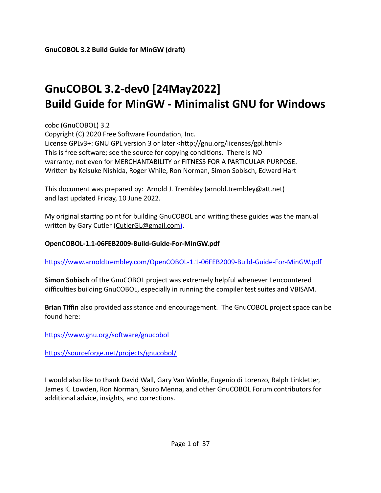# **GnuCOBOL 3.2-dev0 [24May2022] Build Guide for MinGW - Minimalist GNU for Windows**

cobc (GnuCOBOL) 3.2

Copyright (C) 2020 Free Software Foundation, Inc. License GPLv3+: GNU GPL version 3 or later <http://gnu.org/licenses/gpl.html> This is free software; see the source for copying conditions. There is NO warranty; not even for MERCHANTABILITY or FITNESS FOR A PARTICULAR PURPOSE. Written by Keisuke Nishida, Roger While, Ron Norman, Simon Sobisch, Edward Hart

This document was prepared by: Arnold J. Trembley (arnold.trembley@att.net) and last updated Friday, 10 June 2022.

My original starting point for building GnuCOBOL and writing these guides was the manual written by Gary Cutler (CutlerGL@gmail.com).

#### **OpenCOBOL-1.1-06FEB2009-Build-Guide-For-MinGW.pdf**

https://www.arnoldtrembley.com/OpenCOBOL-1.1-06FEB2009-Build-Guide-For-MinGW.pdf

**Simon Sobisch** of the GnuCOBOL project was extremely helpful whenever I encountered difficulties building GnuCOBOL, especially in running the compiler test suites and VBISAM.

**Brian Tiffin** also provided assistance and encouragement. The GnuCOBOL project space can be found here:

[https://www.gnu.org/software/gnucobol](https://sourceforge.net/projects/open-cobol/)

[https://sourceforge.net/projects/gnucobol/](https://sourceforge.net/projects/open-cobol/)

I would also like to thank David Wall, Gary Van Winkle, Eugenio di Lorenzo, Ralph Linkletter, James K. Lowden, Ron Norman, Sauro Menna, and other GnuCOBOL Forum contributors for additional advice, insights, and corrections.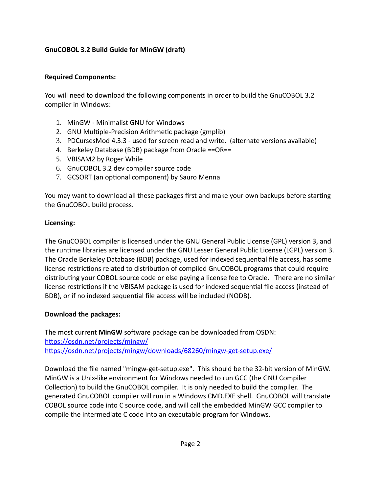#### **Required Components:**

You will need to download the following components in order to build the GnuCOBOL 3.2 compiler in Windows:

- 1. MinGW Minimalist GNU for Windows
- 2. GNU Multiple-Precision Arithmetic package (gmplib)
- 3. PDCursesMod 4.3.3 used for screen read and write. (alternate versions available)
- 4. Berkeley Database (BDB) package from Oracle ==OR==
- 5. VBISAM2 by Roger While
- 6. GnuCOBOL 3.2 dev compiler source code
- 7. GCSORT (an optional component) by Sauro Menna

You may want to download all these packages first and make your own backups before starting the GnuCOBOL build process.

#### **Licensing:**

The GnuCOBOL compiler is licensed under the GNU General Public License (GPL) version 3, and the runtime libraries are licensed under the GNU Lesser General Public License (LGPL) version 3. The Oracle Berkeley Database (BDB) package, used for indexed sequential file access, has some license restrictions related to distribution of compiled GnuCOBOL programs that could require distributing your COBOL source code or else paying a license fee to Oracle. There are no similar license restrictions if the VBISAM package is used for indexed sequential file access (instead of BDB), or if no indexed sequential file access will be included (NODB).

#### **Download the packages:**

The most current **MinGW** software package can be downloaded from OSDN: [https://osdn.net/projects/mingw/](https://sourceforge.net/projects/mingw/files/) https://osdn.net/projects/mingw/downloads/68260/mingw-get-setup.exe/

Download the file named "mingw-get-setup.exe". This should be the 32-bit version of MinGW. MinGW is a Unix-like environment for Windows needed to run GCC (the GNU Compiler Collection) to build the GnuCOBOL compiler. It is only needed to build the compiler. The generated GnuCOBOL compiler will run in a Windows CMD.EXE shell. GnuCOBOL will translate COBOL source code into C source code, and will call the embedded MinGW GCC compiler to compile the intermediate C code into an executable program for Windows.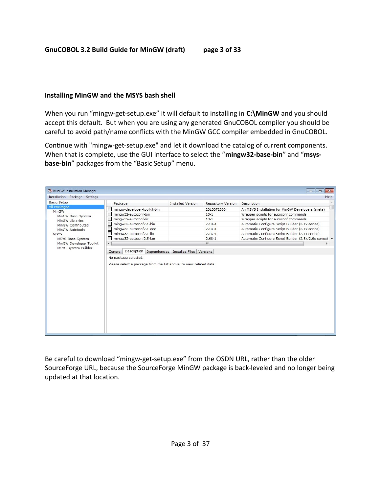#### **Installing MinGW and the MSYS bash shell**

When you run "mingw-get-setup.exe" it will default to installing in C:\MinGW and you should accept this default. But when you are using any generated GnuCOBOL compiler you should be careful to avoid path/name conflicts with the MinGW GCC compiler embedded in GnuCOBOL.

Continue with "mingw-get-setup.exe" and let it download the catalog of current components. When that is complete, use the GUI interface to select the "**mingw32-base-bin**" and "**msysbase-bin**" packages from the "Basic Setup" menu.

| MinGW Installation Manager<br>Installation Package Settings        |                                                                                                                                                 |                                       |                    | $\Box$ 0<br>Help                                        |
|--------------------------------------------------------------------|-------------------------------------------------------------------------------------------------------------------------------------------------|---------------------------------------|--------------------|---------------------------------------------------------|
| <b>Basic Setup</b>                                                 | Package                                                                                                                                         | Installed Version                     | Repository Version | Description                                             |
| All Packages                                                       | mingw-developer-toolkit-bin                                                                                                                     |                                       | 2013072300         | An MSYS Installation for MinGW Developers (meta)        |
| MinGW                                                              | mingw32-autoconf-bin                                                                                                                            |                                       | $10 - 1$           | Wrapper scripts for autoconf commands                   |
| MinGW Base System<br>MinGW Libraries                               | mingw32-autoconf-lic                                                                                                                            |                                       | $10-1$             | Wrapper scripts for autoconf commands                   |
| MinGW Contributed                                                  | mingw32-autoconf2.1-bin                                                                                                                         |                                       | $2.13 - 4$         | Automatic Configure Script Builder (2.1x series)        |
| MinGW Autotools                                                    | mingw32-autoconf2.1-doc                                                                                                                         |                                       | $2.13 - 4$         | Automatic Configure Script Builder (2.1x series)        |
| <b>MSYS</b>                                                        | mingw32-autoconf2.1-lic                                                                                                                         |                                       | $2.13 - 4$         | Automatic Configure Script Builder (2.1x series)        |
|                                                                    |                                                                                                                                                 |                                       |                    |                                                         |
|                                                                    |                                                                                                                                                 |                                       | $2.68 - 1$         |                                                         |
| MSYS Base System<br>MinGW Developer Toolkit<br>MSYS System Builder | mingw32-autoconf2.5-bin<br>Description<br>General<br>No package selected.<br>Please select a package from the list above, to view related data. | Dependencies Installed Files Versions | m.                 | Automatic Configure Script Builder (2.5x/2.6x series) + |

Be careful to download "mingw-get-setup.exe" from the OSDN URL, rather than the older SourceForge URL, because the SourceForge MinGW package is back-leveled and no longer being updated at that location.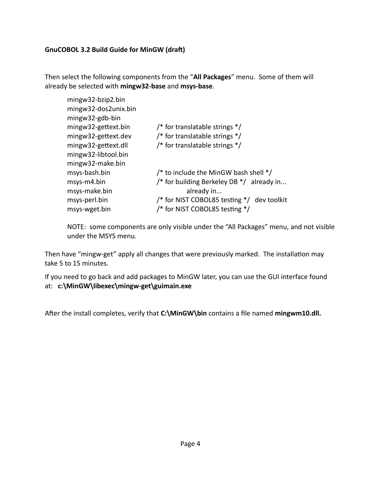Then select the following components from the "**All Packages**" menu. Some of them will already be selected with **mingw32-base** and **msys-base**.

| /* for translatable strings $*/$           |
|--------------------------------------------|
| /* for translatable strings $*/$           |
| /* for translatable strings $*/$           |
|                                            |
|                                            |
| /* to include the MinGW bash shell */      |
| /* for building Berkeley DB */ already in  |
| already in                                 |
| /* for NIST COBOL85 testing */ dev toolkit |
| /* for NIST COBOL85 testing */             |
|                                            |

NOTE: some components are only visible under the "All Packages" menu, and not visible under the MSYS menu.

Then have "mingw-get" apply all changes that were previously marked. The installation may take 5 to 15 minutes.

If you need to go back and add packages to MinGW later, you can use the GUI interface found at: **c:\MinGW\libexec\mingw-get\guimain.exe** 

After the install completes, verify that **C:\MinGW\bin** contains a file named **mingwm10.dll.**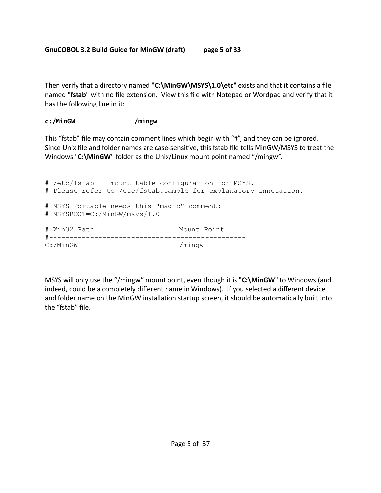Then verify that a directory named "**C:\MinGW\MSYS\1.0\etc**" exists and that it contains a file named "**fstab**" with no file extension. View this file with Notepad or Wordpad and verify that it has the following line in it:

## **c:/MinGW /mingw**

This "fstab" file may contain comment lines which begin with "#", and they can be ignored. Since Unix file and folder names are case-sensitive, this fstab file tells MinGW/MSYS to treat the Windows "**C:\MinGW**" folder as the Unix/Linux mount point named "/mingw".

```
# /etc/fstab -- mount table configuration for MSYS.
# Please refer to /etc/fstab.sample for explanatory annotation.
# MSYS-Portable needs this "magic" comment:
# MSYSROOT=C:/MinGW/msys/1.0
# Win32_Path Mount_Point
#------------------------------------------------
C:/MinGW /mingw
```
MSYS will only use the "/mingw" mount point, even though it is "C:\MinGW" to Windows (and indeed, could be a completely different name in Windows). If you selected a different device and folder name on the MinGW installation startup screen, it should be automatically built into the "fstab" file.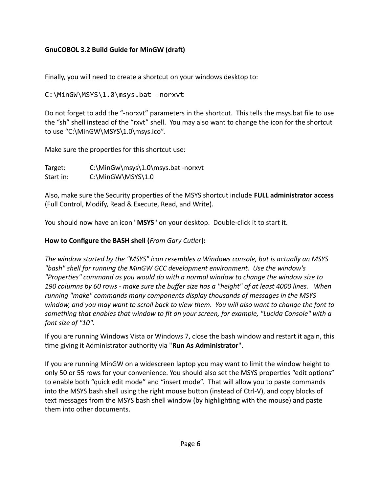Finally, you will need to create a shortcut on your windows desktop to:

```
C:\MinGW\MSYS\1.0\msys.bat -norxvt
```
Do not forget to add the "-norxvt" parameters in the shortcut. This tells the msys.bat file to use the "sh" shell instead of the "rxvt" shell. You may also want to change the icon for the shortcut to use "C:\MinGW\MSYS\1.0\msys.ico".

Make sure the properties for this shortcut use:

```
Target: C:\MinGw\msys\1.0\msys.bat -norxvt
Start in: C:\MinGW\MSYS\1.0
```
Also, make sure the Security properties of the MSYS shortcut include **FULL administrator access**  (Full Control, Modify, Read & Execute, Read, and Write).

You should now have an icon "**MSYS**" on your desktop. Double-click it to start it.

# **How to Configure the BASH shell (***From Gary Cutler***):**

*The window started by the "MSYS" icon resembles a Windows console, but is actually an MSYS "bash" shell for running the MinGW GCC development environment. Use the window's "Properties" command as you would do with a normal window to change the window size to 190 columns by 60 rows - make sure the buffer size has a "height" of at least 4000 lines. When running "make" commands many components display thousands of messages in the MSYS window, and you may want to scroll back to view them. You will also want to change the font to something that enables that window to fit on your screen, for example, "Lucida Console" with a font size of "10".* 

If you are running Windows Vista or Windows 7, close the bash window and restart it again, this time giving it Administrator authority via "**Run As Administrator**".

If you are running MinGW on a widescreen laptop you may want to limit the window height to only 50 or 55 rows for your convenience. You should also set the MSYS properties "edit options" to enable both "quick edit mode" and "insert mode". That will allow you to paste commands into the MSYS bash shell using the right mouse button (instead of Ctrl-V), and copy blocks of text messages from the MSYS bash shell window (by highlighting with the mouse) and paste them into other documents.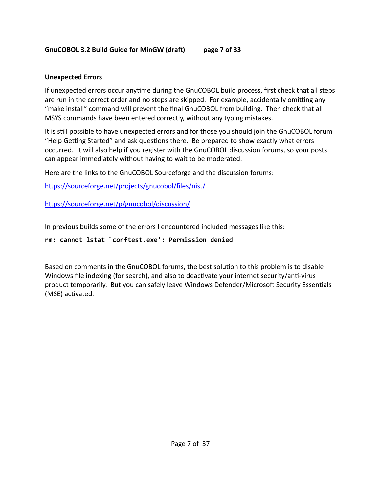#### **GnuCOBOL 3.2 Build Guide for MinGW (draft) page 7 of 33**

## **Unexpected Errors**

If unexpected errors occur anytime during the GnuCOBOL build process, first check that all steps are run in the correct order and no steps are skipped. For example, accidentally omitting any "make install" command will prevent the final GnuCOBOL from building. Then check that all MSYS commands have been entered correctly, without any typing mistakes.

It is still possible to have unexpected errors and for those you should join the GnuCOBOL forum "Help Getting Started" and ask questions there. Be prepared to show exactly what errors occurred. It will also help if you register with the GnuCOBOL discussion forums, so your posts can appear immediately without having to wait to be moderated.

Here are the links to the GnuCOBOL Sourceforge and the discussion forums:

[https://sourceforge.net/projects/gnucobol/files/nist/](https://sourceforge.net/projects/open-cobol/files/nist/)

[https://sourceforge.net/p/gnucobol/discussion/](https://sourceforge.net/p/open-cobol/discussion/)

In previous builds some of the errors I encountered included messages like this:

#### **rm: cannot lstat `conftest.exe': Permission denied**

Based on comments in the GnuCOBOL forums, the best solution to this problem is to disable Windows file indexing (for search), and also to deactivate your internet security/anti-virus product temporarily. But you can safely leave Windows Defender/Microsoft Security Essentials (MSE) activated.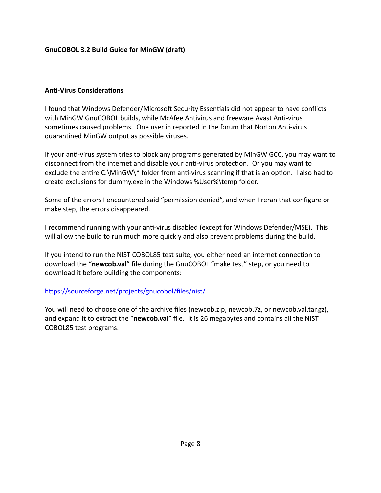#### **Anti-Virus Considerations**

I found that Windows Defender/Microsoft Security Essentials did not appear to have conflicts with MinGW GnuCOBOL builds, while McAfee Antivirus and freeware Avast Anti-virus sometimes caused problems. One user in reported in the forum that Norton Anti-virus quarantined MinGW output as possible viruses.

If your anti-virus system tries to block any programs generated by MinGW GCC, you may want to disconnect from the internet and disable your anti-virus protection. Or you may want to exclude the entire C:\MinGW\\* folder from anti-virus scanning if that is an option. I also had to create exclusions for dummy.exe in the Windows %User%\temp folder.

Some of the errors I encountered said "permission denied", and when I reran that configure or make step, the errors disappeared.

I recommend running with your anti-virus disabled (except for Windows Defender/MSE). This will allow the build to run much more quickly and also prevent problems during the build.

If you intend to run the NIST COBOL85 test suite, you either need an internet connection to download the "**newcob.val**" file during the GnuCOBOL "make test" step, or you need to download it before building the components:

#### https://sourceforge.net/projects/gnucobol/files/nist/

You will need to choose one of the archive files (newcob.zip, newcob.7z, or newcob.val.tar.gz), and expand it to extract the "**newcob.val**" file. It is 26 megabytes and contains all the NIST COBOL85 test programs.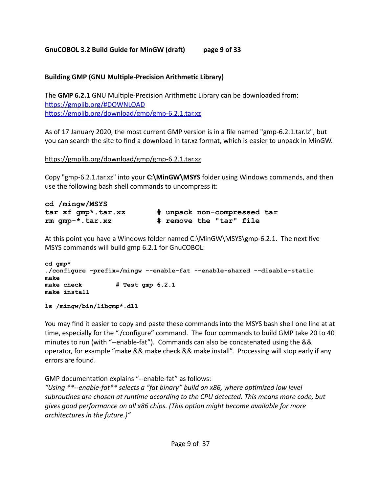#### **GnuCOBOL 3.2 Build Guide for MinGW (draft) page 9 of 33**

#### **Building GMP (GNU Multiple-Precision Arithmetic Library)**

The **GMP 6.2.1** GNU Multiple-Precision Arithmetic Library can be downloaded from: <https://gmplib.org/#DOWNLOAD> https://gmplib.org/download/gmp/gmp-6.2.1.tar.xz

As of 17 January 2020, the most current GMP version is in a file named "gmp-6.2.1.tar.lz", but you can search the site to find a download in tar.xz format, which is easier to unpack in MinGW.

[https://gmplib.org/download/gmp/gmp-6.2.1.tar.xz](https://gmplib.org/download/gmp/gmp-6.2.0.tar.xz)

Copy "gmp-6.2.1.tar.xz" into your **C:\MinGW\MSYS** folder using Windows commands, and then use the following bash shell commands to uncompress it:

| cd /mingw/MSYS     |                             |  |  |
|--------------------|-----------------------------|--|--|
| tar xf qmp*.tar.xz | # unpack non-compressed tar |  |  |
| $rm qmp-*.tar.xz$  | # remove the "tar" file     |  |  |

At this point you have a Windows folder named C:\MinGW\MSYS\gmp-6.2.1. The next five MSYS commands will build gmp 6.2.1 for GnuCOBOL:

```
cd gmp* 
./configure –prefix=/mingw --enable-fat --enable-shared --disable-static 
make
make check # Test gmp 6.2.1 
make install
```
**ls /mingw/bin/libgmp\*.dll**

You may find it easier to copy and paste these commands into the MSYS bash shell one line at at time, especially for the "./configure" command. The four commands to build GMP take 20 to 40 minutes to run (with "--enable-fat"). Commands can also be concatenated using the && operator, for example "make && make check && make install". Processing will stop early if any errors are found.

GMP documentation explains "--enable-fat" as follows:

*"Using \*\*--enable-fat\*\* selects a "fat binary" build on x86, where optimized low level subroutines are chosen at runtime according to the CPU detected. This means more code, but gives good performance on all x86 chips. (This option might become available for more architectures in the future.)"*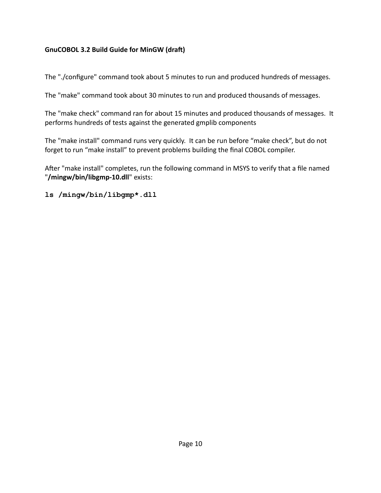The "./configure" command took about 5 minutes to run and produced hundreds of messages.

The "make" command took about 30 minutes to run and produced thousands of messages.

The "make check" command ran for about 15 minutes and produced thousands of messages. It performs hundreds of tests against the generated gmplib components

The "make install" command runs very quickly. It can be run before "make check", but do not forget to run "make install" to prevent problems building the final COBOL compiler.

After "make install" completes, run the following command in MSYS to verify that a file named "**/mingw/bin/libgmp-10.dll**" exists:

**ls /mingw/bin/libgmp\*.dll**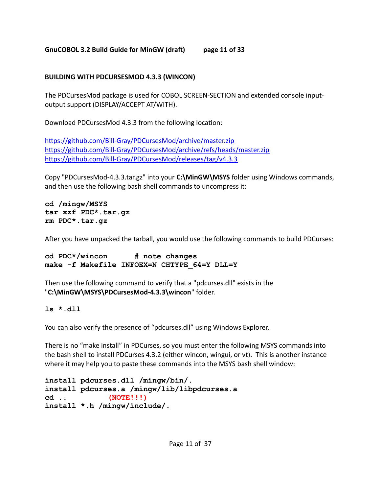# **GnuCOBOL 3.2 Build Guide for MinGW (draft) page 11 of 33**

# **BUILDING WITH PDCURSESMOD 4.3.3 (WINCON)**

The PDCursesMod package is used for COBOL SCREEN-SECTION and extended console inputoutput support (DISPLAY/ACCEPT AT/WITH).

Download PDCursesMod 4.3.3 from the following location:

https://github.com/Bill-Gray/PDCursesMod/archive/master.zip https://github.com/Bill-Gray/PDCursesMod/archive/refs/heads/master.zip https://github.com/Bill-Gray/PDCursesMod/releases/tag/v4.3.3

Copy "PDCursesMod-4.3.3.tar.gz" into your **C:\MinGW\MSYS** folder using Windows commands, and then use the following bash shell commands to uncompress it:

**cd /mingw/MSYS tar xzf PDC\*.tar.gz rm PDC\*.tar.gz**

After you have unpacked the tarball, you would use the following commands to build PDCurses:

```
cd PDC*/wincon # note changes 
make -f Makefile INFOEX=N CHTYPE_64=Y DLL=Y
```
Then use the following command to verify that a "pdcurses.dll" exists in the "**C:\MinGW\MSYS\PDCursesMod-4.3.3\wincon**" folder.

#### **ls \*.dll**

You can also verify the presence of "pdcurses.dll" using Windows Explorer.

There is no "make install" in PDCurses, so you must enter the following MSYS commands into the bash shell to install PDCurses 4.3.2 (either wincon, wingui, or vt). This is another instance where it may help you to paste these commands into the MSYS bash shell window:

```
install pdcurses.dll /mingw/bin/. 
install pdcurses.a /mingw/lib/libpdcurses.a 
cd .. (NOTE!!!)
install *.h /mingw/include/.
```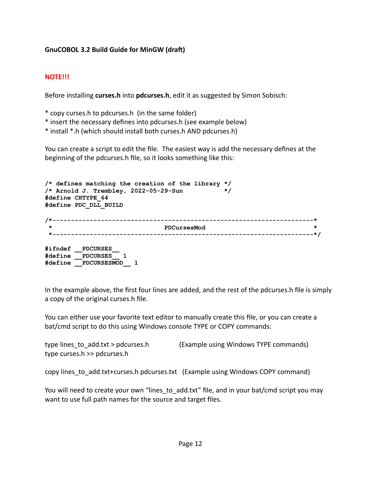#### **NOTE!!!**

Before installing **curses.h** into **pdcurses.h**, edit it as suggested by Simon Sobisch:

- \* copy curses.h to pdcurses.h (in the same folder)
- \* insert the necessary defines into pdcurses.h (see example below)
- \* install \*.h (which should install both curses.h AND pdcurses.h)

You can create a script to edit the file. The easiest way is add the necessary defines at the beginning of the pdcurses.h file, so it looks something like this:

```
/* defines matching the creation of the library */
/* Arnold J. Trembley, 2022-05-29-Sun */ 
#define CHTYPE_64
#define PDC_DLL_BUILD 
/*----------------------------------------------------------------------*
                                * PDCursesMod *
  *----------------------------------------------------------------------*/
#ifndef __PDCURSES__
#define __PDCURSES__ 1
#define __PDCURSESMOD__ 1
```
In the example above, the first four lines are added, and the rest of the pdcurses.h file is simply a copy of the original curses.h file.

You can either use your favorite text editor to manually create this file, or you can create a bat/cmd script to do this using Windows console TYPE or COPY commands:

```
type lines_to_add.txt > pdcurses.h (Example using Windows TYPE commands) 
type curses.h >> pdcurses.h
```
copy lines\_to\_add.txt+curses.h pdcurses.txt (Example using Windows COPY command)

You will need to create your own "lines to add.txt" file, and in your bat/cmd script you may want to use full path names for the source and target files.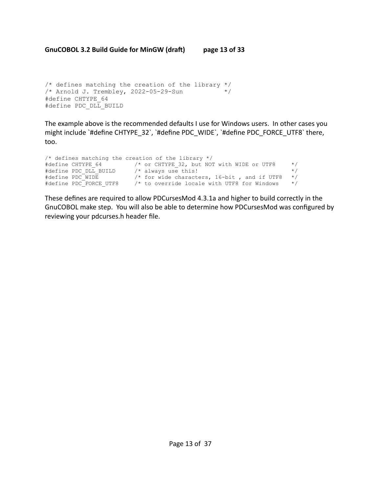```
/* defines matching the creation of the library */
/* Arnold J. Trembley, 2022-05-29-Sun */ 
#define CHTYPE_64
#define PDC DLL BUILD
```
The example above is the recommended defaults I use for Windows users. In other cases you might include `#define CHTYPE\_32`, `#define PDC\_WIDE`, `#define PDC\_FORCE\_UTF8` there, too.

```
/* defines matching the creation of the library */
#define CHTYPE_64 /* or CHTYPE_32, but NOT with WIDE or UTF8 */ 
#define PDC_DLL_BUILD /* always use this! */ 
#define PDC_WIDE /* for wide characters, 16-bit , and if UTF8 */ 
#define PDC FORCE UTF8 /* to override locale with UTF8 for Windows */
```
These defines are required to allow PDCursesMod 4.3.1a and higher to build correctly in the GnuCOBOL make step. You will also be able to determine how PDCursesMod was configured by reviewing your pdcurses.h header file.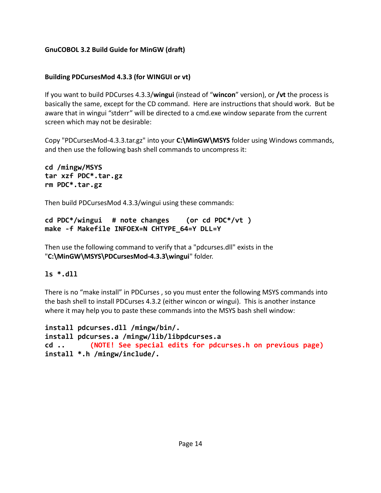#### **Building PDCursesMod 4.3.3 (for WINGUI or vt)**

If you want to build PDCurses 4.3.3/**wingui** (instead of "**wincon**" version), or **/vt** the process is basically the same, except for the CD command. Here are instructions that should work. But be aware that in wingui "stderr" will be directed to a cmd.exe window separate from the current screen which may not be desirable:

Copy "PDCursesMod-4.3.3.tar.gz" into your **C:\MinGW\MSYS** folder using Windows commands, and then use the following bash shell commands to uncompress it:

**cd /mingw/MSYS tar xzf PDC\*.tar.gz rm PDC\*.tar.gz**

Then build PDCursesMod 4.3.3/wingui using these commands:

```
cd PDC*/wingui # note changes (or cd PDC*/vt )
make -f Makefile INFOEX=N CHTYPE_64=Y DLL=Y
```
Then use the following command to verify that a "pdcurses.dll" exists in the "**C:\MinGW\MSYS\PDCursesMod-4.3.3\wingui**" folder.

#### **ls \*.dll**

There is no "make install" in PDCurses , so you must enter the following MSYS commands into the bash shell to install PDCurses 4.3.2 (either wincon or wingui). This is another instance where it may help you to paste these commands into the MSYS bash shell window:

```
install pdcurses.dll /mingw/bin/. 
install pdcurses.a /mingw/lib/libpdcurses.a 
cd .. (NOTE! See special edits for pdcurses.h on previous page)
install *.h /mingw/include/.
```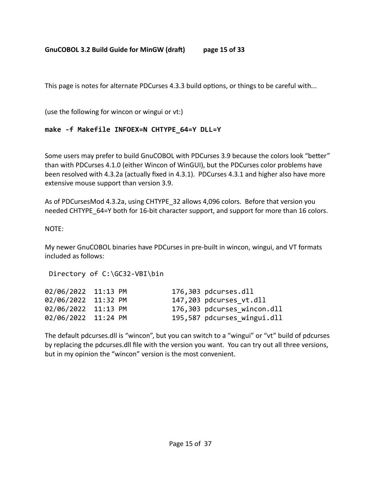# **GnuCOBOL 3.2 Build Guide for MinGW (draft) page 15 of 33**

This page is notes for alternate PDCurses 4.3.3 build options, or things to be careful with...

(use the following for wincon or wingui or vt:)

# **make -f Makefile INFOEX=N CHTYPE\_64=Y DLL=Y**

Some users may prefer to build GnuCOBOL with PDCurses 3.9 because the colors look "better" than with PDCurses 4.1.0 (either Wincon of WinGUI), but the PDCurses color problems have been resolved with 4.3.2a (actually fixed in 4.3.1). PDCurses 4.3.1 and higher also have more extensive mouse support than version 3.9.

As of PDCursesMod 4.3.2a, using CHTYPE\_32 allows 4,096 colors. Before that version you needed CHTYPE 64=Y both for 16-bit character support, and support for more than 16 colors.

#### NOTE:

My newer GnuCOBOL binaries have PDCurses in pre-built in wincon, wingui, and VT formats included as follows:

Directory of C:\GC32-VBI\bin

| 02/06/2022 11:13 PM |  | 176,303 pdcurses.dll        |
|---------------------|--|-----------------------------|
| 02/06/2022 11:32 PM |  | 147,203 pdcurses vt.dll     |
| 02/06/2022 11:13 PM |  | 176,303 pdcurses wincon.dll |
| 02/06/2022 11:24 PM |  | 195,587 pdcurses wingui.dll |

The default pdcurses.dll is "wincon", but you can switch to a "wingui" or "vt" build of pdcurses by replacing the pdcurses.dll file with the version you want. You can try out all three versions, but in my opinion the "wincon" version is the most convenient.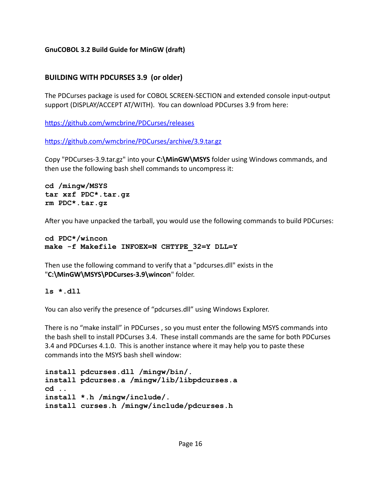# **BUILDING WITH PDCURSES 3.9 (or older)**

The PDCurses package is used for COBOL SCREEN-SECTION and extended console input-output support (DISPLAY/ACCEPT AT/WITH). You can download PDCurses 3.9 from here:

<https://github.com/wmcbrine/PDCurses/releases>

https://github.com/wmcbrine/PDCurses/archive/3.9.tar.gz

Copy "PDCurses-3.9.tar.gz" into your **C:\MinGW\MSYS** folder using Windows commands, and then use the following bash shell commands to uncompress it:

**cd /mingw/MSYS tar xzf PDC\*.tar.gz rm PDC\*.tar.gz**

After you have unpacked the tarball, you would use the following commands to build PDCurses:

```
cd PDC*/wincon 
make -f Makefile INFOEX=N CHTYPE_32=Y DLL=Y
```
Then use the following command to verify that a "pdcurses.dll" exists in the "**C:\MinGW\MSYS\PDCurses-3.9\wincon**" folder.

**ls \*.dll**

You can also verify the presence of "pdcurses.dll" using Windows Explorer.

There is no "make install" in PDCurses , so you must enter the following MSYS commands into the bash shell to install PDCurses 3.4. These install commands are the same for both PDCurses 3.4 and PDCurses 4.1.0. This is another instance where it may help you to paste these commands into the MSYS bash shell window:

```
install pdcurses.dll /mingw/bin/. 
install pdcurses.a /mingw/lib/libpdcurses.a 
cd .. 
install *.h /mingw/include/. 
install curses.h /mingw/include/pdcurses.h
```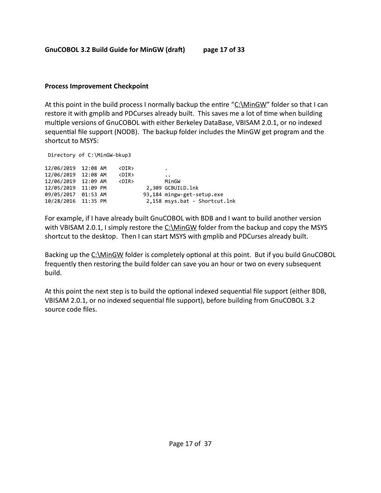**GnuCOBOL 3.2 Build Guide for MinGW (draft) page 17 of 33**

#### **Process Improvement Checkpoint**

At this point in the build process I normally backup the entire "[C:\MinGW"](file:///c:/GC20-Build) folder so that I can restore it with gmplib and PDCurses already built. This saves me a lot of time when building multiple versions of GnuCOBOL with either Berkeley DataBase, VBISAM 2.0.1, or no indexed sequential file support (NODB). The backup folder includes the MinGW get program and the shortcut to MSYS:

Directory of C:\MinGW-bkup3

| 12/06/2019 12:08 AM<br>12/06/2019 12:08 AM<br>12/06/2019 12:09 AM<br>12/05/2019 11:09 PM | <dir><br/><dir><br/><dir></dir></dir></dir> | ٠<br>$\cdot$ $\cdot$<br>MinGW<br>2,309 GCBUILD. 1nk         |
|------------------------------------------------------------------------------------------|---------------------------------------------|-------------------------------------------------------------|
| 09/05/2017 01:53 AM<br>10/28/2016 11:35 PM                                               |                                             | 93,184 mingw-get-setup.exe<br>2,158 msys.bat - Shortcut.lnk |

For example, if I have already built GnuCOBOL with BDB and I want to build another version with VBISAM 2.0.1, I simply restore the  $C:\MnGW$  folder from the backup and copy the MSYS shortcut to the desktop. Then I can start MSYS with gmplib and PDCurses already built.

Backing up the [C:\MinGW](../../../../../GC20-Build) folder is completely optional at this point. But if you build GnuCOBOL frequently then restoring the build folder can save you an hour or two on every subsequent build.

At this point the next step is to build the optional indexed sequential file support (either BDB, VBISAM 2.0.1, or no indexed sequential file support), before building from GnuCOBOL 3.2 source code files.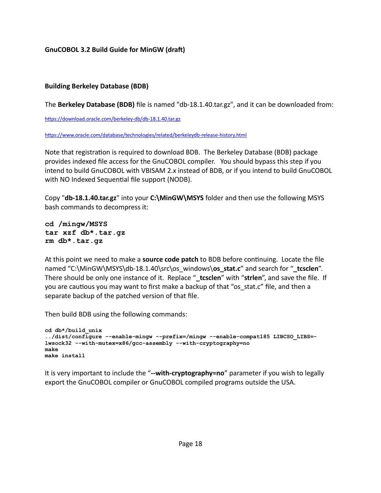#### **Building Berkeley Database (BDB)**

The **Berkeley Database (BDB)** file is named "db-18.1.40.tar.gz", and it can be downloaded from:

https://download.oracle.com/berkeley-db/db-18.1.40.tar.gz

https://www.oracle.com/database/technologies/related/berkeleydb-release-history.html

Note that registration is required to download BDB. The Berkeley Database (BDB) package provides indexed file access for the GnuCOBOL compiler. You should bypass this step if you intend to build GnuCOBOL with VBISAM 2.x instead of BDB, or if you intend to build GnuCOBOL with NO Indexed Sequential file support (NODB).

Copy "**db-18.1.40.tar.gz**" into your **C:\MinGW\MSYS** folder and then use the following MSYS bash commands to decompress it:

**cd /mingw/MSYS tar xzf db\*.tar.gz rm db\*.tar.gz**

At this point we need to make a **source code patch** to BDB before continuing. Locate the file named "C:\MinGW\MSYS\db-18.1.40\src\os\_windows\os\_stat.c" and search for "\_tcsclen". There should be only one instance of it. Replace "**\_tcsclen**" with "**strlen**", and save the file. If you are cautious you may want to first make a backup of that "os stat.c" file, and then a separate backup of the patched version of that file.

Then build BDB using the following commands:

```
cd db*/build_unix 
../dist/configure --enable-mingw --prefix=/mingw --enable-compat185 LIBCSO_LIBS=-
lwsock32 --with-mutex=x86/gcc-assembly --with-cryptography=no 
make 
make install
```
It is very important to include the "**--with-cryptography=no**" parameter if you wish to legally export the GnuCOBOL compiler or GnuCOBOL compiled programs outside the USA.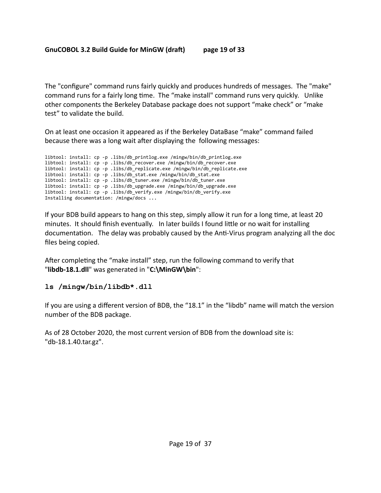The "configure" command runs fairly quickly and produces hundreds of messages. The "make" command runs for a fairly long time. The "make install" command runs very quickly. Unlike other components the Berkeley Database package does not support "make check" or "make test" to validate the build.

On at least one occasion it appeared as if the Berkeley DataBase "make" command failed because there was a long wait after displaying the following messages:

libtool: install: cp -p .libs/db\_printlog.exe /mingw/bin/db\_printlog.exe libtool: install: cp -p .libs/db\_recover.exe /mingw/bin/db\_recover.exe libtool: install: cp -p .libs/db\_replicate.exe /mingw/bin/db\_replicate.exe libtool: install: cp -p .libs/db\_stat.exe /mingw/bin/db\_stat.exe libtool: install: cp -p .libs/db\_tuner.exe /mingw/bin/db\_tuner.exe libtool: install: cp -p .libs/db\_upgrade.exe /mingw/bin/db\_upgrade.exe libtool: install: cp -p .libs/db\_verify.exe /mingw/bin/db\_verify.exe Installing documentation: /mingw/docs ...

If your BDB build appears to hang on this step, simply allow it run for a long time, at least 20 minutes. It should finish eventually. In later builds I found little or no wait for installing documentation. The delay was probably caused by the Anti-Virus program analyzing all the doc files being copied.

After completing the "make install" step, run the following command to verify that "**libdb-18.1.dll**" was generated in "**C:\MinGW\bin**":

# **ls /mingw/bin/libdb\*.dll**

If you are using a different version of BDB, the "18.1" in the "libdb" name will match the version number of the BDB package.

As of 28 October 2020, the most current version of BDB from the download site is: "db-18.1.40.tar.gz".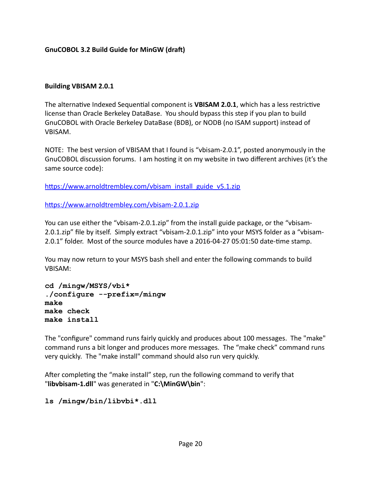#### **Building VBISAM 2.0.1**

The alternative Indexed Sequential component is **VBISAM 2.0.1**, which has a less restrictive license than Oracle Berkeley DataBase. You should bypass this step if you plan to build GnuCOBOL with Oracle Berkeley DataBase (BDB), or NODB (no ISAM support) instead of VBISAM.

NOTE: The best version of VBISAM that I found is "vbisam-2.0.1", posted anonymously in the GnuCOBOL discussion forums. I am hosting it on my website in two different archives (it's the same source code):

[https://www.arnoldtrembley.com/vbisam\\_install\\_guide\\_v5.1.zip](http://www.arnoldtrembley.com/vbisam_install_guide_v5.1.zip)

[https://www.arnoldtrembley.com/vbisam-2.0.1.zip](http://www.arnoldtrembley.com/vbisam-2.0.1.zip)

You can use either the "vbisam-2.0.1.zip" from the install guide package, or the "vbisam-2.0.1.zip" file by itself. Simply extract "vbisam-2.0.1.zip" into your MSYS folder as a "vbisam-2.0.1" folder. Most of the source modules have a 2016-04-27 05:01:50 date-time stamp.

You may now return to your MSYS bash shell and enter the following commands to build VBISAM:

**cd /mingw/MSYS/vbi\* ./configure --prefix=/mingw make make check make install**

The "configure" command runs fairly quickly and produces about 100 messages. The "make" command runs a bit longer and produces more messages. The "make check" command runs very quickly. The "make install" command should also run very quickly.

After completing the "make install" step, run the following command to verify that "**libvbisam-1.dll**" was generated in "**C:\MinGW\bin**":

**ls /mingw/bin/libvbi\*.dll**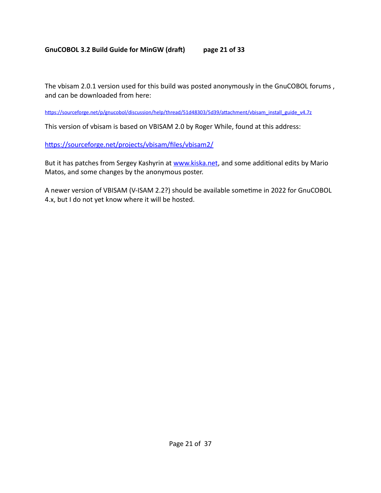## **GnuCOBOL 3.2 Build Guide for MinGW (draft) page 21 of 33**

The vbisam 2.0.1 version used for this build was posted anonymously in the GnuCOBOL forums , and can be downloaded from here:

[https://sourceforge.net/p/gnucobol/discussion/help/thread/51d48303/5d39/attachment/vbisam\\_install\\_guide\\_v4.7z](https://sourceforge.net/p/open-cobol/discussion/help/thread/51d48303/5d39/attachment/vbisam_install_guide_v4.7z)

This version of vbisam is based on VBISAM 2.0 by Roger While, found at this address:

<https://sourceforge.net/projects/vbisam/files/vbisam2/>

But it has patches from Sergey Kashyrin at [www.kiska.net](http://www.kiska.net/), and some additional edits by Mario Matos, and some changes by the anonymous poster.

A newer version of VBISAM (V-ISAM 2.2?) should be available sometime in 2022 for GnuCOBOL 4.x, but I do not yet know where it will be hosted.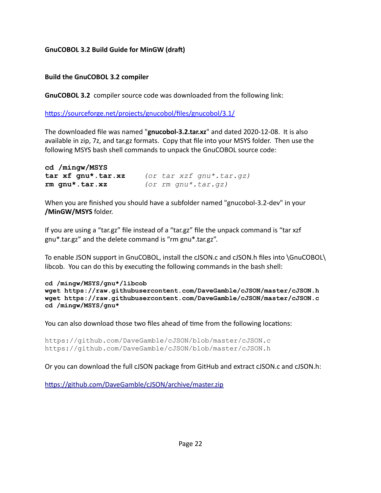#### **Build the GnuCOBOL 3.2 compiler**

**GnuCOBOL 3.2** compiler source code was downloaded from the following link:

https://sourceforge.net/projects/gnucobol/files/gnucobol/3.1/

The downloaded file was named "**gnucobol-3.2.tar.xz**" and dated 2020-12-08. It is also available in zip, 7z, and tar.gz formats. Copy that file into your MSYS folder. Then use the following MSYS bash shell commands to unpack the GnuCOBOL source code:

```
cd /mingw/MSYS 
tar xf gnu*.tar.xz (or tar xzf gnu*.tar.gz)
rm gnu*.tar.xz (or rm gnu*.tar.gz)
```
When you are finished you should have a subfolder named "gnucobol-3.2-dev" in your **/MinGW/MSYS** folder.

If you are using a "tar.gz" file instead of a "tar.gz" file the unpack command is "tar xzf gnu\*.tar.gz" and the delete command is "rm gnu\*.tar.gz".

To enable JSON support in GnuCOBOL, install the cJSON.c and cJSON.h files into \GnuCOBOL\ libcob. You can do this by executing the following commands in the bash shell:

```
cd /mingw/MSYS/gnu*/libcob
wget https://raw.githubusercontent.com/DaveGamble/cJSON/master/cJSON.h
wget https://raw.githubusercontent.com/DaveGamble/cJSON/master/cJSON.c
cd /mingw/MSYS/gnu*
```
You can also download those two files ahead of time from the following locations:

```
https://github.com/DaveGamble/cJSON/blob/master/cJSON.c
https://github.com/DaveGamble/cJSON/blob/master/cJSON.h
```
Or you can download the full cJSON package from GitHub and extract cJSON.c and cJSON.h:

https://github.com/DaveGamble/cJSON/archive/master.zip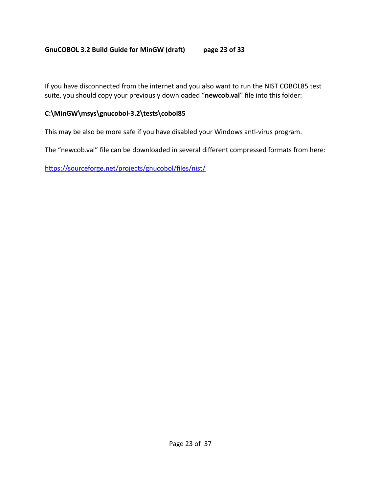#### **GnuCOBOL 3.2 Build Guide for MinGW (draft) page 23 of 33**

If you have disconnected from the internet and you also want to run the NIST COBOL85 test suite, you should copy your previously downloaded "**newcob.val**" file into this folder:

#### **C:\MinGW\msys\gnucobol-3.2\tests\cobol85**

This may be also be more safe if you have disabled your Windows anti-virus program.

The "newcob.val" file can be downloaded in several different compressed formats from here:

https://sourceforge.net/projects/gnucobol/files/nist/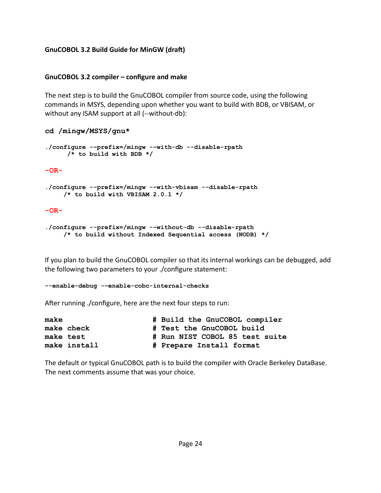#### **GnuCOBOL 3.2 compiler – configure and make**

The next step is to build the GnuCOBOL compiler from source code, using the following commands in MSYS, depending upon whether you want to build with BDB, or VBISAM, or without any ISAM support at all (--without-db):

```
cd /mingw/MSYS/gnu*
```

```
./configure -–prefix=/mingw -–with-db --disable-rpath 
       /* to build with BDB */
-OR-
./configure --prefix=/mingw -–with-vbisam --disable-rpath 
      /* to build with VBISAM 2.0.1 */
-OR-
./configure --prefix=/mingw -–without-db --disable-rpath 
      /* to build without Indexed Sequential access (NODB) */
```
If you plan to build the GnuCOBOL compiler so that its internal workings can be debugged, add the following two parameters to your ./configure statement:

```
--enable-debug -–enable-cobc-internal-checks
```
After running ./configure, here are the next four steps to run:

| make         | # Build the GnuCOBOL compiler  |
|--------------|--------------------------------|
| make check   | # Test the GnuCOBOL build      |
| make test    | # Run NIST COBOL 85 test suite |
| make install | # Prepare Install format       |

The default or typical GnuCOBOL path is to build the compiler with Oracle Berkeley DataBase. The next comments assume that was your choice.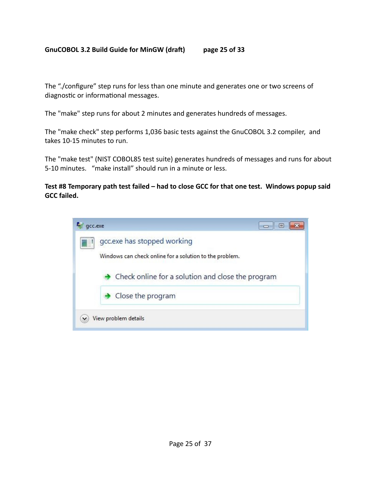#### **GnuCOBOL 3.2 Build Guide for MinGW (draft) page 25 of 33**

The "./configure" step runs for less than one minute and generates one or two screens of diagnostic or informational messages.

The "make" step runs for about 2 minutes and generates hundreds of messages.

The "make check" step performs 1,036 basic tests against the GnuCOBOL 3.2 compiler, and takes 10-15 minutes to run.

The "make test" (NIST COBOL85 test suite) generates hundreds of messages and runs for about 5-10 minutes. "make install" should run in a minute or less.

#### **Test #8 Temporary path test failed – had to close GCC for that one test. Windows popup said GCC failed.**

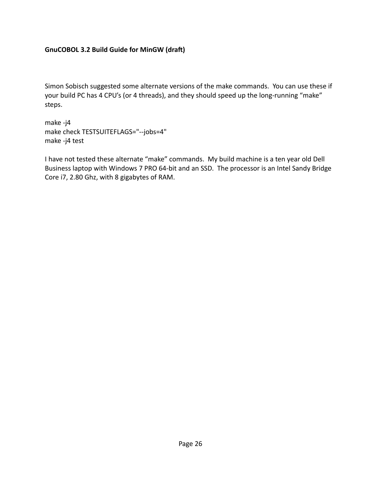Simon Sobisch suggested some alternate versions of the make commands. You can use these if your build PC has 4 CPU's (or 4 threads), and they should speed up the long-running "make" steps.

make -j4 make check TESTSUITEFLAGS="--jobs=4" make -j4 test

I have not tested these alternate "make" commands. My build machine is a ten year old Dell Business laptop with Windows 7 PRO 64-bit and an SSD. The processor is an Intel Sandy Bridge Core i7, 2.80 Ghz, with 8 gigabytes of RAM.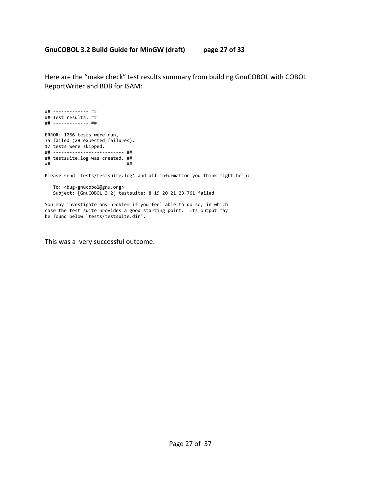Here are the "make check" test results summary from building GnuCOBOL with COBOL ReportWriter and BDB for ISAM:

## ------------- ## ## Test results. ## ## ------------- ## ERROR: 1066 tests were run, 35 failed (29 expected failures). 17 tests were skipped. ## -------------------------- ## ## testsuite.log was created. ## ## -------------------------- ## Please send `tests/testsuite.log' and all information you think might help: To: <bug-gnucobol@gnu.org> Subject: [GnuCOBOL 3.2] testsuite: 8 19 20 21 23 761 failed

You may investigate any problem if you feel able to do so, in which case the test suite provides a good starting point. Its output may be found below `tests/testsuite.dir'.

This was a very successful outcome.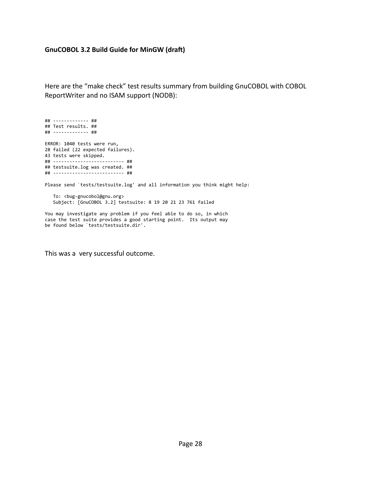Here are the "make check" test results summary from building GnuCOBOL with COBOL ReportWriter and no ISAM support (NODB):

## ------------- ## ## Test results. ## ## ------------- ## ERROR: 1040 tests were run, 28 failed (22 expected failures). 43 tests were skipped. ## -------------------------- ## ## testsuite.log was created. ## ## -------------------------- ## Please send `tests/testsuite.log' and all information you think might help: To: <bug-gnucobol@gnu.org> Subject: [GnuCOBOL 3.2] testsuite: 8 19 20 21 23 761 failed

You may investigate any problem if you feel able to do so, in which case the test suite provides a good starting point. Its output may be found below `tests/testsuite.dir'.

This was a very successful outcome.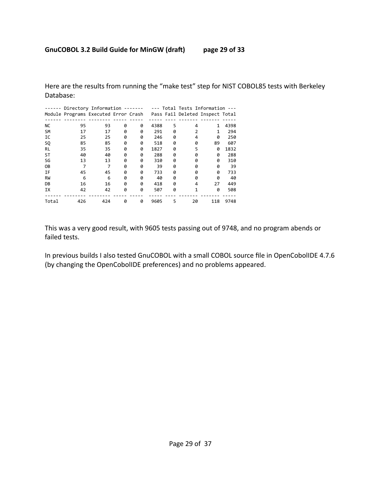Here are the results from running the "make test" step for NIST COBOL85 tests with Berkeley Database:

|           | Directory Information -------        |     |   |   | $---$ |   | --- Total Tests Information     |     |      |
|-----------|--------------------------------------|-----|---|---|-------|---|---------------------------------|-----|------|
|           | Module Programs Executed Error Crash |     |   |   |       |   | Pass Fail Deleted Inspect Total |     |      |
|           |                                      |     |   |   |       |   |                                 |     |      |
| <b>NC</b> | 95                                   | 93  | 0 | ø | 4388  | 5 | 4                               | 1   | 4398 |
| <b>SM</b> | 17                                   | 17  | 0 | ø | 291   | 0 |                                 | 1   | 294  |
| IC        | 25                                   | 25  | 0 | 0 | 246   | 0 | 4                               | 0   | 250  |
| SQ        | 85                                   | 85  | 0 | 0 | 518   | 0 | ø                               | 89  | 607  |
| RL        | 35                                   | 35  | 0 | 0 | 1827  | 0 | 5                               | 0   | 1832 |
| ST        | 40                                   | 40  | 0 | ø | 288   | 0 | ø                               | 0   | 288  |
| SG        | 13                                   | 13  | 0 | 0 | 310   | 0 | 0                               | 0   | 310  |
| 0B        |                                      |     | 0 | ø | 39    | 0 | 0                               | 0   | 39   |
| ΙF        | 45                                   | 45  | 0 | 0 | 733   | 0 | 0                               | 0   | 733  |
| <b>RW</b> | 6                                    | 6   | 0 | 0 | 40    | 0 | 0                               | 0   | 40   |
| DB        | 16                                   | 16  | 0 | 0 | 418   | 0 | 4                               | 27  | 449  |
| <b>IX</b> | 42                                   | 42  | 0 | 0 | 507   | 0 | $\mathbf{1}$                    | 0   | 508  |
|           |                                      |     |   |   |       |   |                                 |     |      |
| Total     | 426                                  | 424 | 0 | ø | 9605  | 5 | 20                              | 118 | 9748 |

This was a very good result, with 9605 tests passing out of 9748, and no program abends or failed tests.

In previous builds I also tested GnuCOBOL with a small COBOL source file in OpenCobolIDE 4.7.6 (by changing the OpenCobolIDE preferences) and no problems appeared.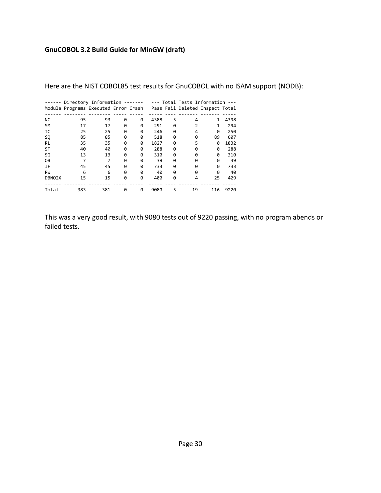|               | Directory Information -------        |     |   |   |      |   | --- Total Tests Information --- |     |      |
|---------------|--------------------------------------|-----|---|---|------|---|---------------------------------|-----|------|
|               | Module Programs Executed Error Crash |     |   |   |      |   | Pass Fail Deleted Inspect Total |     |      |
|               |                                      |     |   |   |      |   |                                 |     |      |
| <b>NC</b>     | 95                                   | 93  | 0 | 0 | 4388 | 5 | 4                               | 1   | 4398 |
| <b>SM</b>     | 17                                   | 17  | 0 | ø | 291  | 0 |                                 |     | 294  |
| IC            | 25                                   | 25  | 0 | 0 | 246  | 0 | 4                               | 0   | 250  |
| <b>SQ</b>     | 85                                   | 85  | 0 | ø | 518  | 0 | ø                               | 89  | 607  |
| RL            | 35                                   | 35  | ø | ø | 1827 | 0 | 5                               | 0   | 1832 |
| ST            | 40                                   | 40  | 0 | 0 | 288  | 0 | ø                               | 0   | 288  |
| SG            | 13                                   | 13  | 0 | ø | 310  | 0 | ø                               | ø   | 310  |
| 0B            |                                      | 7   | 0 | ø | 39   | 0 | A                               | 0   | 39   |
| ΙF            | 45                                   | 45  | 0 | ø | 733  | 0 | ø                               | 0   | 733  |
| <b>RW</b>     | 6                                    | 6   | 0 | 0 | 40   | 0 | ø                               | 0   | 40   |
| <b>DBNOIX</b> | 15                                   | 15  | 0 | 0 | 400  | 0 | 4                               | 25  | 429  |
|               |                                      |     |   |   |      |   |                                 |     |      |
| Total         | 383                                  | 381 | 0 | ø | 9080 | 5 | 19                              | 116 | 9220 |

Here are the NIST COBOL85 test results for GnuCOBOL with no ISAM support (NODB):

This was a very good result, with 9080 tests out of 9220 passing, with no program abends or failed tests.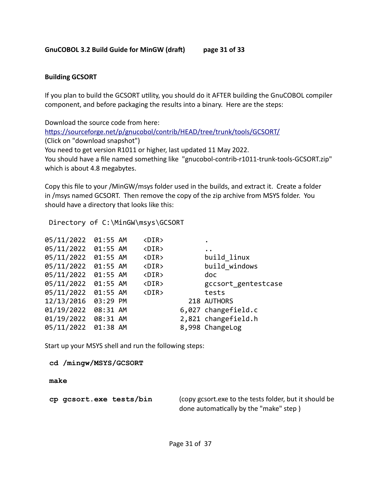#### **Building GCSORT**

If you plan to build the GCSORT utility, you should do it AFTER building the GnuCOBOL compiler component, and before packaging the results into a binary. Here are the steps:

Download the source code from here: <https://sourceforge.net/p/gnucobol/contrib/HEAD/tree/trunk/tools/GCSORT/> (Click on "download snapshot") You need to get version R1011 or higher, last updated 11 May 2022. You should have a file named something like "gnucobol-contrib-r1011-trunk-tools-GCSORT.zip" which is about 4.8 megabytes.

Copy this file to your /MinGW/msys folder used in the builds, and extract it. Create a folder in /msys named GCSORT. Then remove the copy of the zip archive from MSYS folder. You should have a directory that looks like this:

Directory of C:\MinGW\msys\GCSORT

| 05/11/2022          | 01:55 AM | $\langle$ DIR $\rangle$ |                      |
|---------------------|----------|-------------------------|----------------------|
| 05/11/2022 01:55 AM |          | $\langle$ DIR $\rangle$ | $\ddot{\phantom{a}}$ |
| 05/11/2022          | 01:55 AM | <dir></dir>             | build linux          |
| 05/11/2022          | 01:55 AM | $\langle$ DIR $\rangle$ | build windows        |
| 05/11/2022 01:55 AM |          | $\langle$ DIR $\rangle$ | doc                  |
| 05/11/2022          | 01:55 AM | $\langle$ DIR $\rangle$ | gccsort gentestcase  |
| 05/11/2022          | 01:55 AM | $\langle$ DIR $\rangle$ | tests                |
| 12/13/2016          | 03:29 PM |                         | 218 AUTHORS          |
| 01/19/2022          | 08:31 AM |                         | 6,027 changefield.c  |
| 01/19/2022          | 08:31 AM |                         | 2,821 changefield.h  |
| 05/11/2022          | 01:38 AM |                         | 8,998 ChangeLog      |
|                     |          |                         |                      |

Start up your MSYS shell and run the following steps:

 **cd /mingw/MSYS/GCSORT**

 **make**

 **cp gcsort.exe tests/bin** (copy gcsort.exe to the tests folder, but it should be done automatically by the "make" step )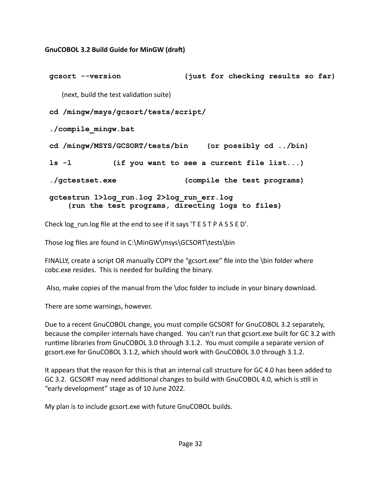**gcsort --version (just for checking results so far)** (next, build the test validation suite)  **cd /mingw/msys/gcsort/tests/script/ ./compile\_mingw.bat cd /mingw/MSYS/GCSORT/tests/bin (or possibly cd ../bin) ls -l (if you want to see a current file list...) ./gctestset.exe (compile the test programs) gctestrun 1>log\_run.log 2>log\_run\_err.log (run the test programs, directing logs to files)**

Check log run. log file at the end to see if it says 'T E S T P A S S E D'.

Those log files are found in C:\MinGW\msys\GCSORT\tests\bin

FINALLY, create a script OR manually COPY the "gcsort.exe" file into the \bin folder where cobc.exe resides. This is needed for building the binary.

Also, make copies of the manual from the \doc folder to include in your binary download.

There are some warnings, however.

Due to a recent GnuCOBOL change, you must compile GCSORT for GnuCOBOL 3.2 separately, because the compiler internals have changed. You can't run that gcsort.exe built for GC 3.2 with runtime libraries from GnuCOBOL 3.0 through 3.1.2. You must compile a separate version of gcsort.exe for GnuCOBOL 3.1.2, which should work with GnuCOBOL 3.0 through 3.1.2.

It appears that the reason for this is that an internal call structure for GC 4.0 has been added to GC 3.2. GCSORT may need additional changes to build with GnuCOBOL 4.0, which is still in "early development" stage as of 10 June 2022.

My plan is to include gcsort.exe with future GnuCOBOL builds.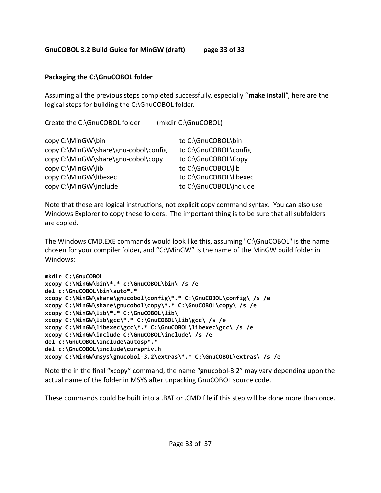# **Packaging the C:\GnuCOBOL folder**

Assuming all the previous steps completed successfully, especially "**make install**", here are the logical steps for building the C:\GnuCOBOL folder.

Create the C:\GnuCOBOL folder (mkdir C:\GnuCOBOL)

| copy C:\MinGW\bin                    | to C:\GnuCOBOL\bin     |
|--------------------------------------|------------------------|
| copy C:\MinGW\share\gnu-cobol\config | to C:\GnuCOBOL\config  |
| copy C:\MinGW\share\gnu-cobol\copy   | to C:\GnuCOBOL\Copy    |
| copy C:\MinGW\lib                    | to C:\GnuCOBOL\lib     |
| copy C:\MinGW\libexec                | to C:\GnuCOBOL\libexec |
| copy C:\MinGW\include                | to C:\GnuCOBOL\include |

Note that these are logical instructions, not explicit copy command syntax. You can also use Windows Explorer to copy these folders. The important thing is to be sure that all subfolders are copied.

The Windows CMD.EXE commands would look like this, assuming "C:\GnuCOBOL" is the name chosen for your compiler folder, and "C:\MinGW" is the name of the MinGW build folder in Windows:

```
mkdir C:\GnuCOBOL
xcopy C:\MinGW\bin\*.* c:\GnuCOBOL\bin\ /s /e 
del c:\GnuCOBOL\bin\auto*.* 
xcopy C:\MinGW\share\gnucobol\config\*.* C:\GnuCOBOL\config\ /s /e
xcopy C:\MinGW\share\gnucobol\copy\*.* C:\GnuCOBOL\copy\ /s /e
xcopy C:\MinGW\lib\*.* C:\GnuCOBOL\lib\ 
xcopy C:\MinGW\lib\gcc\*.* C:\GnuCOBOL\lib\gcc\ /s /e 
xcopy C:\MinGW\libexec\gcc\*.* C:\GnuCOBOL\libexec\gcc\ /s /e
xcopy C:\MinGW\include C:\GnuCOBOL\include\ /s /e
del c:\GnuCOBOL\include\autosp*.* 
del c:\GnuCOBOL\include\curspriv.h
xcopy C:\MinGW\msys\gnucobol-3.2\extras\*.* C:\GnuCOBOL\extras\ /s /e
```
Note the in the final "xcopy" command, the name "gnucobol-3.2" may vary depending upon the actual name of the folder in MSYS after unpacking GnuCOBOL source code.

These commands could be built into a .BAT or .CMD file if this step will be done more than once.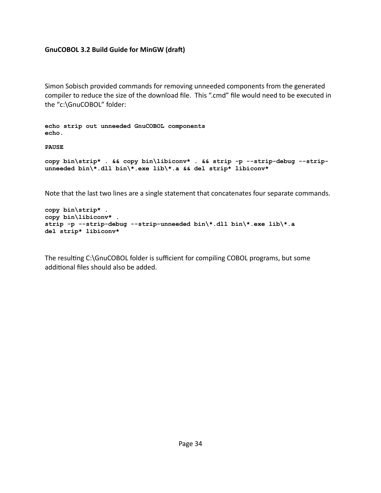Simon Sobisch provided commands for removing unneeded components from the generated compiler to reduce the size of the download file. This ".cmd" file would need to be executed in the "c:[\Gn](../../../../../GnuCOBOL)uCOBOL" folder:

**echo strip out unneeded GnuCOBOL components echo.** 

**PAUSE** 

```
copy bin\strip* . && copy bin\libiconv* . && strip -p --strip-debug --strip-
unneeded bin\*.dll bin\*.exe lib\*.a && del strip* libiconv*
```
Note that the last two lines are a single statement that concatenates four separate commands.

```
copy bin\strip* . 
copy bin\libiconv* . 
strip -p --strip-debug --strip-unneeded bin\*.dll bin\*.exe lib\*.a 
del strip* libiconv*
```
The resulting C:\GnuCOBOL folder is sufficient for compiling COBOL programs, but some additional files should also be added.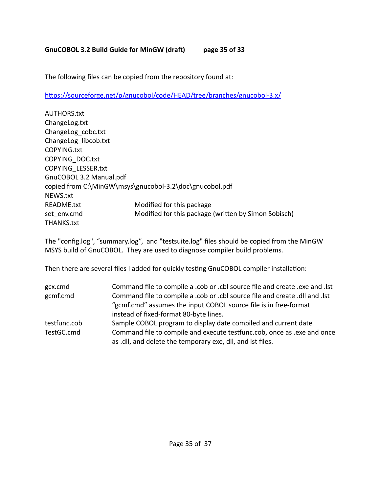The following files can be copied from the repository found at:

https://sourceforge.net/p/gnucobol/code/HEAD/tree/branches/gnucobol-3.x/

| <b>AUTHORS.txt</b>      |                                                         |
|-------------------------|---------------------------------------------------------|
| ChangeLog.txt           |                                                         |
| ChangeLog cobc.txt      |                                                         |
| ChangeLog libcob.txt    |                                                         |
| COPYING.txt             |                                                         |
| <b>COPYING DOC.txt</b>  |                                                         |
| COPYING LESSER.txt      |                                                         |
| GnuCOBOL 3.2 Manual.pdf |                                                         |
|                         | copied from C:\MinGW\msys\gnucobol-3.2\doc\gnucobol.pdf |
| NEWS.txt                |                                                         |
| README.txt              | Modified for this package                               |
| set env.cmd             | Modified for this package (written by Simon Sobisch)    |
| THANKS.txt              |                                                         |

The "config.log", "summary.log", and "testsuite.log" files should be copied from the MinGW MSYS build of GnuCOBOL. They are used to diagnose compiler build problems.

Then there are several files I added for quickly testing GnuCOBOL compiler installation:

| gcx.cmd      | Command file to compile a .cob or .cbl source file and create .exe and .lst |
|--------------|-----------------------------------------------------------------------------|
| gcmf.cmd     | Command file to compile a .cob or .cbl source file and create .dll and .lst |
|              | "gcmf.cmd" assumes the input COBOL source file is in free-format            |
|              | instead of fixed-format 80-byte lines.                                      |
| testfunc.cob | Sample COBOL program to display date compiled and current date              |
| TestGC.cmd   | Command file to compile and execute testfunc.cob, once as .exe and once     |
|              | as .dll, and delete the temporary exe, dll, and lst files.                  |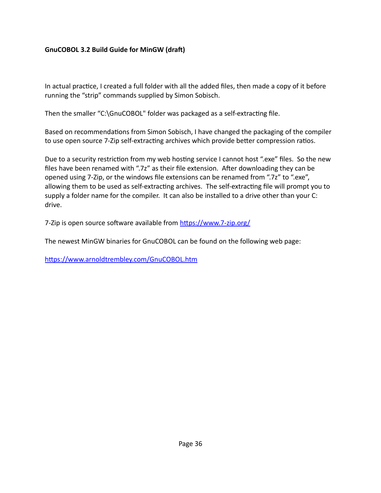In actual practice, I created a full folder with all the added files, then made a copy of it before running the "strip" commands supplied by Simon Sobisch.

Then the smaller "C:\GnuCOBOL" folder was packaged as a self-extracting file.

Based on recommendations from Simon Sobisch, I have changed the packaging of the compiler to use open source 7-Zip self-extracting archives which provide better compression ratios.

Due to a security restriction from my web hosting service I cannot host ".exe" files. So the new files have been renamed with ".7z" as their file extension. After downloading they can be opened using 7-Zip, or the windows file extensions can be renamed from ".7z" to ".exe", allowing them to be used as self-extracting archives. The self-extracting file will prompt you to supply a folder name for the compiler. It can also be installed to a drive other than your C: drive.

7-Zip is open source software available from [https://www.7-zip.org/](http://www.7-zip.org/)

The newest MinGW binaries for GnuCOBOL can be found on the following web page:

https://www.arnoldtrembley.com/GnuCOBOL.htm